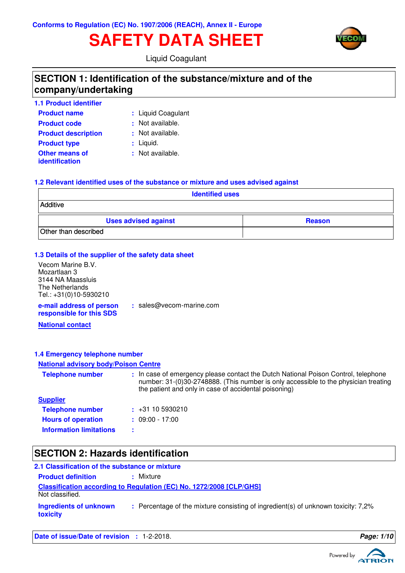# **SAFETY DATA SHEET**



Liquid Coagulant

# **SECTION 1: Identification of the substance/mixture and of the company/undertaking**

| <b>1.1 Product identifier</b>           |                    |
|-----------------------------------------|--------------------|
| <b>Product name</b>                     | : Liquid Coagulant |
| <b>Product code</b>                     | : Not available.   |
| <b>Product description</b>              | : Not available.   |
| <b>Product type</b>                     | : Liquid.          |
| <b>Other means of</b><br>identification | : Not available.   |

### **1.2 Relevant identified uses of the substance or mixture and uses advised against**

| <b>Identified uses</b>      |               |  |
|-----------------------------|---------------|--|
| Additive                    |               |  |
| <b>Uses advised against</b> | <b>Reason</b> |  |
| Other than described        |               |  |

### **1.3 Details of the supplier of the safety data sheet**

| Vecom Marine B.V.                                    |          |
|------------------------------------------------------|----------|
| Mozartlaan 3                                         |          |
| 3144 NA Maassluis                                    |          |
| The Netherlands                                      |          |
| Tel.: +31(0)10-5930210                               |          |
| e-mail address of person<br>responsible for this SDS | : sales@ |

**:** sales@vecom-marine.com

**National contact**

# **1.4 Emergency telephone number**

### **National advisory body/Poison Centre**

| <b>Telephone number</b>        | : In case of emergency please contact the Dutch National Poison Control, telephone<br>number: 31-(0)30-2748888. (This number is only accessible to the physician treating<br>the patient and only in case of accidental poisoning) |
|--------------------------------|------------------------------------------------------------------------------------------------------------------------------------------------------------------------------------------------------------------------------------|
| <b>Supplier</b>                |                                                                                                                                                                                                                                    |
| <b>Telephone number</b>        | $\div$ +31 10 5930210                                                                                                                                                                                                              |
| <b>Hours of operation</b>      | $: 09:00 - 17:00$                                                                                                                                                                                                                  |
| <b>Information limitations</b> | ÷                                                                                                                                                                                                                                  |

# **SECTION 2: Hazards identification**

| 2.1 Classification of the substance or mixture |                                                                                   |
|------------------------------------------------|-----------------------------------------------------------------------------------|
| <b>Product definition</b>                      | : Mixture                                                                         |
| Not classified.                                | Classification according to Regulation (EC) No. 1272/2008 [CLP/GHS]               |
| Ingredients of unknown<br>toxicity             | : Percentage of the mixture consisting of ingredient(s) of unknown toxicity: 7,2% |

**Date of issue/Date of revision : 1-2-2018. Page: 1/10 Page: 1/10** 

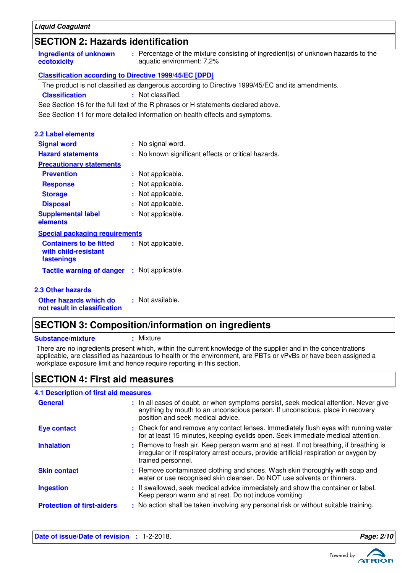# **SECTION 2: Hazards identification**

| Ingredients of unknown | : Percentage of the mixture consisting of ingredient(s) of unknown hazards to the |
|------------------------|-----------------------------------------------------------------------------------|
| ecotoxicity            | aquatic environment: 7,2%                                                         |
|                        |                                                                                   |

### **Classification according to Directive 1999/45/EC [DPD]**

The product is not classified as dangerous according to Directive 1999/45/EC and its amendments.

**Classification :** Not classified.

See Section 16 for the full text of the R phrases or H statements declared above.

See Section 11 for more detailed information on health effects and symptoms.

| 2.2 Label elements                                                   |    |                                                     |
|----------------------------------------------------------------------|----|-----------------------------------------------------|
| <b>Signal word</b>                                                   |    | : No signal word.                                   |
| <b>Hazard statements</b>                                             |    | : No known significant effects or critical hazards. |
| <b>Precautionary statements</b>                                      |    |                                                     |
| <b>Prevention</b>                                                    |    | : Not applicable.                                   |
| <b>Response</b>                                                      |    | : Not applicable.                                   |
| <b>Storage</b>                                                       | ÷. | Not applicable.                                     |
| <b>Disposal</b>                                                      |    | : Not applicable.                                   |
| <b>Supplemental label</b><br>elements                                |    | : Not applicable.                                   |
| <b>Special packaging requirements</b>                                |    |                                                     |
| <b>Containers to be fitted</b><br>with child-resistant<br>fastenings |    | : Not applicable.                                   |
| <b>Tactile warning of danger</b>                                     |    | : Not applicable.                                   |
| <b>2.3 Other hazards</b>                                             |    |                                                     |
| Other hazards which do                                               |    | : Not available.                                    |

# **SECTION 3: Composition/information on ingredients**

**Substance/mixture :** Mixture

**not result in classification**

There are no ingredients present which, within the current knowledge of the supplier and in the concentrations applicable, are classified as hazardous to health or the environment, are PBTs or vPvBs or have been assigned a workplace exposure limit and hence require reporting in this section.

# **SECTION 4: First aid measures**

#### If swallowed, seek medical advice immediately and show the container or label. Keep person warm and at rest. Do not induce vomiting. Check for and remove any contact lenses. Immediately flush eyes with running water **:** for at least 15 minutes, keeping eyelids open. Seek immediate medical attention. Remove contaminated clothing and shoes. Wash skin thoroughly with soap and **:** water or use recognised skin cleanser. Do NOT use solvents or thinners. Remove to fresh air. Keep person warm and at rest. If not breathing, if breathing is **:** irregular or if respiratory arrest occurs, provide artificial respiration or oxygen by trained personnel. General **In all cases of doubt, or when symptoms persist**, seek medical attention. Never give anything by mouth to an unconscious person. If unconscious, place in recovery position and seek medical advice. **Skin contact 4.1 Description of first aid measures Ingestion Inhalation Eye contact : Protection of first-aiders** : No action shall be taken involving any personal risk or without suitable training.

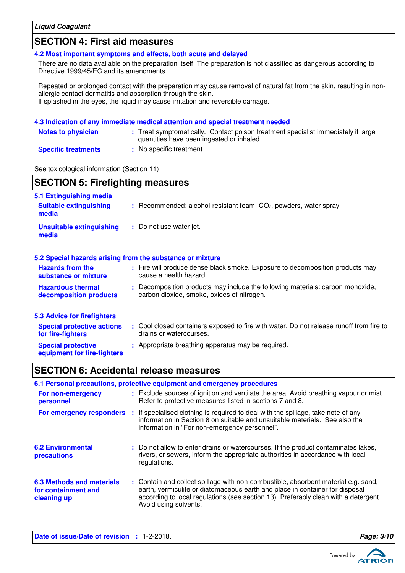# **SECTION 4: First aid measures**

**4.2 Most important symptoms and effects, both acute and delayed**

There are no data available on the preparation itself. The preparation is not classified as dangerous according to Directive 1999/45/EC and its amendments.

Repeated or prolonged contact with the preparation may cause removal of natural fat from the skin, resulting in nonallergic contact dermatitis and absorption through the skin. If splashed in the eyes, the liquid may cause irritation and reversible damage.

### **4.3 Indication of any immediate medical attention and special treatment needed**

| <b>Notes to physician</b>  | : Treat symptomatically. Contact poison treatment specialist immediately if large<br>quantities have been ingested or inhaled. |
|----------------------------|--------------------------------------------------------------------------------------------------------------------------------|
| <b>Specific treatments</b> | : No specific treatment.                                                                                                       |

See toxicological information (Section 11)

**Special protective**

**equipment for fire-fighters**

| <b>SECTION 5: Firefighting measures</b>                                               |                                                                                                                              |  |  |
|---------------------------------------------------------------------------------------|------------------------------------------------------------------------------------------------------------------------------|--|--|
| 5.1 Extinguishing media<br><b>Suitable extinguishing</b><br>media                     | $:$ Recommended: alcohol-resistant foam, $CO2$ , powders, water spray.                                                       |  |  |
| <b>Unsuitable extinguishing</b><br>media                                              | : Do not use water jet.                                                                                                      |  |  |
|                                                                                       | 5.2 Special hazards arising from the substance or mixture                                                                    |  |  |
| <b>Hazards from the</b><br>substance or mixture                                       | : Fire will produce dense black smoke. Exposure to decomposition products may<br>cause a health hazard.                      |  |  |
| <b>Hazardous thermal</b><br>decomposition products                                    | : Decomposition products may include the following materials: carbon monoxide,<br>carbon dioxide, smoke, oxides of nitrogen. |  |  |
| 5.3 Advice for firefighters<br><b>Special protective actions</b><br>for fire-fighters | : Cool closed containers exposed to fire with water. Do not release runoff from fire to<br>drains or watercourses.           |  |  |

### **SECTION 6: Accidental release measures**

#### Exclude sources of ignition and ventilate the area. Avoid breathing vapour or mist. Refer to protective measures listed in sections 7 and 8. Contain and collect spillage with non-combustible, absorbent material e.g. sand, **:** earth, vermiculite or diatomaceous earth and place in container for disposal according to local regulations (see section 13). Preferably clean with a detergent. Avoid using solvents. Do not allow to enter drains or watercourses. If the product contaminates lakes, **:** rivers, or sewers, inform the appropriate authorities in accordance with local regulations. **6.2 Environmental precautions 6.3 Methods and materials for containment and cleaning up 6.1 Personal precautions, protective equipment and emergency procedures For non-emergency personnel : For emergency responders** : If specialised clothing is required to deal with the spillage, take note of any information in Section 8 on suitable and unsuitable materials. See also the information in "For non-emergency personnel".

**:** Appropriate breathing apparatus may be required.

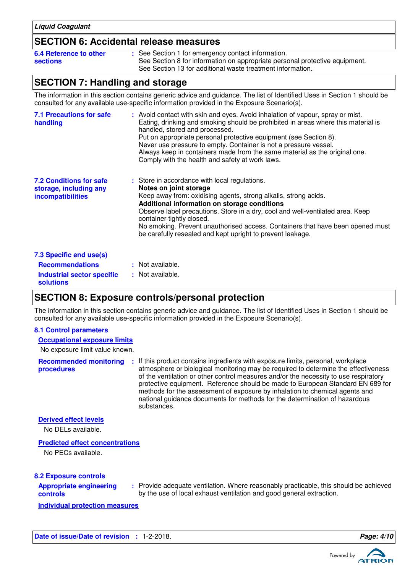## **SECTION 6: Accidental release measures**

| 6.4 Reference to other | : See Section 1 for emergency contact information.                          |
|------------------------|-----------------------------------------------------------------------------|
| sections               | See Section 8 for information on appropriate personal protective equipment. |
|                        | See Section 13 for additional waste treatment information.                  |

# **SECTION 7: Handling and storage**

The information in this section contains generic advice and guidance. The list of Identified Uses in Section 1 should be consulted for any available use-specific information provided in the Exposure Scenario(s).

| <b>7.1 Precautions for safe</b><br>handling                                          | : Avoid contact with skin and eyes. Avoid inhalation of vapour, spray or mist.<br>Eating, drinking and smoking should be prohibited in areas where this material is<br>handled, stored and processed.<br>Put on appropriate personal protective equipment (see Section 8).<br>Never use pressure to empty. Container is not a pressure vessel.<br>Always keep in containers made from the same material as the original one.<br>Comply with the health and safety at work laws. |
|--------------------------------------------------------------------------------------|---------------------------------------------------------------------------------------------------------------------------------------------------------------------------------------------------------------------------------------------------------------------------------------------------------------------------------------------------------------------------------------------------------------------------------------------------------------------------------|
| <b>7.2 Conditions for safe</b><br>storage, including any<br><i>incompatibilities</i> | : Store in accordance with local regulations.<br>Notes on joint storage<br>Keep away from: oxidising agents, strong alkalis, strong acids.<br>Additional information on storage conditions<br>Observe label precautions. Store in a dry, cool and well-ventilated area. Keep<br>container tightly closed.<br>No smoking. Prevent unauthorised access. Containers that have been opened must<br>be carefully resealed and kept upright to prevent leakage.                       |
| 7.3 Specific end use(s)                                                              |                                                                                                                                                                                                                                                                                                                                                                                                                                                                                 |
| <b>Recommendations</b>                                                               | : Not available.                                                                                                                                                                                                                                                                                                                                                                                                                                                                |
| <b>Industrial sector specific</b><br><b>solutions</b>                                | : Not available.                                                                                                                                                                                                                                                                                                                                                                                                                                                                |

# **SECTION 8: Exposure controls/personal protection**

The information in this section contains generic advice and guidance. The list of Identified Uses in Section 1 should be consulted for any available use-specific information provided in the Exposure Scenario(s).

### **8.1 Control parameters**

### **Occupational exposure limits**

No exposure limit value known.

**Recommended monitoring procedures** If this product contains ingredients with exposure limits, personal, workplace **:** atmosphere or biological monitoring may be required to determine the effectiveness of the ventilation or other control measures and/or the necessity to use respiratory protective equipment. Reference should be made to European Standard EN 689 for methods for the assessment of exposure by inhalation to chemical agents and national guidance documents for methods for the determination of hazardous substances.

### **Derived effect levels**

No DELs available.

### **Predicted effect concentrations**

No PECs available.

### **8.2 Exposure controls**

| <b>Appropriate engineering</b> |  |
|--------------------------------|--|
| controls                       |  |

Provide adequate ventilation. Where reasonably practicable, this should be achieved **:** by the use of local exhaust ventilation and good general extraction.

**Individual protection measures**

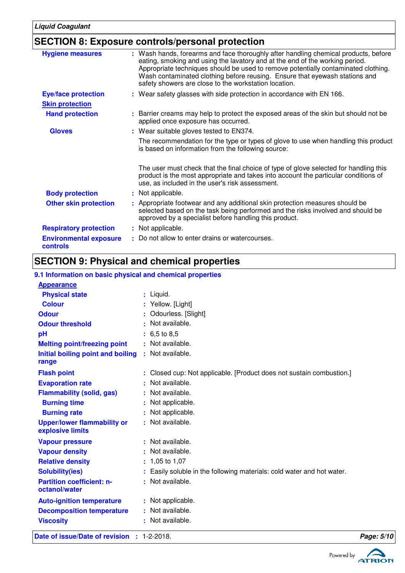# **SECTION 8: Exposure controls/personal protection**

| <b>Hygiene measures</b>                   | : Wash hands, forearms and face thoroughly after handling chemical products, before<br>eating, smoking and using the lavatory and at the end of the working period.<br>Appropriate techniques should be used to remove potentially contaminated clothing.<br>Wash contaminated clothing before reusing. Ensure that eyewash stations and<br>safety showers are close to the workstation location. |
|-------------------------------------------|---------------------------------------------------------------------------------------------------------------------------------------------------------------------------------------------------------------------------------------------------------------------------------------------------------------------------------------------------------------------------------------------------|
| <b>Eye/face protection</b>                | : Wear safety glasses with side protection in accordance with EN 166.                                                                                                                                                                                                                                                                                                                             |
| <b>Skin protection</b>                    |                                                                                                                                                                                                                                                                                                                                                                                                   |
| <b>Hand protection</b>                    | : Barrier creams may help to protect the exposed areas of the skin but should not be<br>applied once exposure has occurred.                                                                                                                                                                                                                                                                       |
| <b>Gloves</b>                             | : Wear suitable gloves tested to EN374.                                                                                                                                                                                                                                                                                                                                                           |
|                                           | The recommendation for the type or types of glove to use when handling this product<br>is based on information from the following source:                                                                                                                                                                                                                                                         |
|                                           | The user must check that the final choice of type of glove selected for handling this<br>product is the most appropriate and takes into account the particular conditions of<br>use, as included in the user's risk assessment.                                                                                                                                                                   |
| <b>Body protection</b>                    | : Not applicable.                                                                                                                                                                                                                                                                                                                                                                                 |
| <b>Other skin protection</b>              | : Appropriate footwear and any additional skin protection measures should be<br>selected based on the task being performed and the risks involved and should be<br>approved by a specialist before handling this product.                                                                                                                                                                         |
| <b>Respiratory protection</b>             | : Not applicable.                                                                                                                                                                                                                                                                                                                                                                                 |
| <b>Environmental exposure</b><br>controls | : Do not allow to enter drains or watercourses.                                                                                                                                                                                                                                                                                                                                                   |
|                                           |                                                                                                                                                                                                                                                                                                                                                                                                   |

# **SECTION 9: Physical and chemical properties**

# **9.1 Information on basic physical and chemical properties**

| Date of issue/Date of revision : 1-2-2018.             |                                                                        | Page: 5/10 |
|--------------------------------------------------------|------------------------------------------------------------------------|------------|
| <b>Viscosity</b>                                       | : Not available.                                                       |            |
| <b>Decomposition temperature</b>                       | : Not available.                                                       |            |
| <b>Auto-ignition temperature</b>                       | : Not applicable.                                                      |            |
| octanol/water                                          |                                                                        |            |
| <b>Partition coefficient: n-</b>                       | : Not available.                                                       |            |
| <b>Solubility(ies)</b>                                 | : Easily soluble in the following materials: cold water and hot water. |            |
| <b>Relative density</b>                                | $: 1,05$ to 1,07                                                       |            |
| <b>Vapour density</b>                                  | : Not available.                                                       |            |
| <b>Vapour pressure</b>                                 | : Not available.                                                       |            |
| <b>Upper/lower flammability or</b><br>explosive limits | : Not available.                                                       |            |
| <b>Burning rate</b>                                    | : Not applicable.                                                      |            |
| <b>Burning time</b>                                    | : Not applicable.                                                      |            |
| <b>Flammability (solid, gas)</b>                       | : Not available.                                                       |            |
| <b>Evaporation rate</b>                                | : Not available.                                                       |            |
| <b>Flash point</b>                                     | : Closed cup: Not applicable. [Product does not sustain combustion.]   |            |
| range                                                  |                                                                        |            |
| Initial boiling point and boiling                      | : Not available.                                                       |            |
| <b>Melting point/freezing point</b>                    | : Not available.                                                       |            |
| pH                                                     | $: 6.5 \text{ to } 8.5$                                                |            |
| <b>Odour threshold</b>                                 | : Not available.                                                       |            |
| <b>Odour</b>                                           | : Odourless. [Slight]                                                  |            |
| <b>Colour</b>                                          | : Yellow. [Light]                                                      |            |
| <b>Physical state</b>                                  | : Liquid.                                                              |            |
| <b>Appearance</b>                                      |                                                                        |            |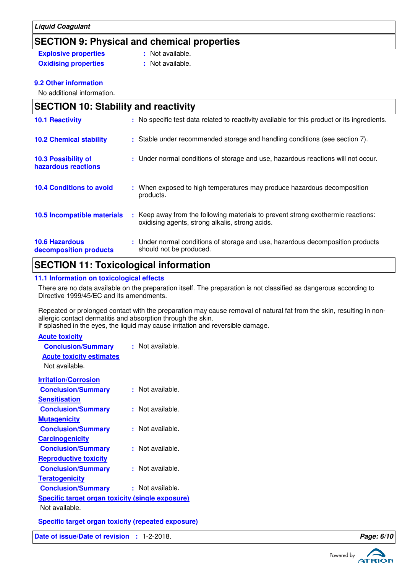# **SECTION 9: Physical and chemical properties**

**Explosive properties : Not available. Oxidising properties : Not available.** 

**9.2 Other information**

No additional information.

| <b>SECTION 10: Stability and reactivity</b>     |                                                                                                                                         |  |
|-------------------------------------------------|-----------------------------------------------------------------------------------------------------------------------------------------|--|
| <b>10.1 Reactivity</b>                          | : No specific test data related to reactivity available for this product or its ingredients.                                            |  |
| <b>10.2 Chemical stability</b>                  | : Stable under recommended storage and handling conditions (see section 7).                                                             |  |
| 10.3 Possibility of<br>hazardous reactions      | : Under normal conditions of storage and use, hazardous reactions will not occur.                                                       |  |
| <b>10.4 Conditions to avoid</b>                 | : When exposed to high temperatures may produce hazardous decomposition<br>products.                                                    |  |
| 10.5 Incompatible materials                     | Keep away from the following materials to prevent strong exothermic reactions:<br>t.<br>oxidising agents, strong alkalis, strong acids. |  |
| <b>10.6 Hazardous</b><br>decomposition products | : Under normal conditions of storage and use, hazardous decomposition products<br>should not be produced.                               |  |

# **SECTION 11: Toxicological information**

### **11.1 Information on toxicological effects**

There are no data available on the preparation itself. The preparation is not classified as dangerous according to Directive 1999/45/EC and its amendments.

Repeated or prolonged contact with the preparation may cause removal of natural fat from the skin, resulting in nonallergic contact dermatitis and absorption through the skin.

If splashed in the eyes, the liquid may cause irritation and reversible damage.

| <b>Acute toxicity</b>                                     |                  |
|-----------------------------------------------------------|------------------|
| <b>Conclusion/Summary</b>                                 | : Not available. |
| <b>Acute toxicity estimates</b>                           |                  |
| Not available.                                            |                  |
| <b>Irritation/Corrosion</b>                               |                  |
| <b>Conclusion/Summary</b>                                 | : Not available. |
| <b>Sensitisation</b>                                      |                  |
| <b>Conclusion/Summary</b>                                 | : Not available. |
| <b>Mutagenicity</b>                                       |                  |
| <b>Conclusion/Summary</b>                                 | : Not available. |
| <b>Carcinogenicity</b>                                    |                  |
| <b>Conclusion/Summary</b>                                 | : Not available. |
| <b>Reproductive toxicity</b>                              |                  |
| <b>Conclusion/Summary</b>                                 | : Not available. |
| <b>Teratogenicity</b>                                     |                  |
| <b>Conclusion/Summary</b>                                 | : Not available. |
| <b>Specific target organ toxicity (single exposure)</b>   |                  |
| Not available.                                            |                  |
| <b>Specific target organ toxicity (repeated exposure)</b> |                  |

**Date of issue/Date of revision :** 1-2-2018. **Page: 6/10**

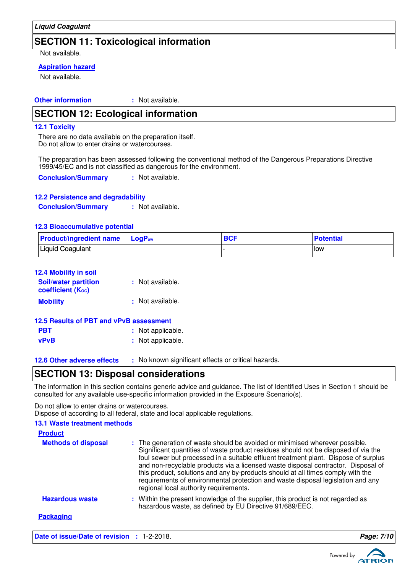# **SECTION 11: Toxicological information**

Not available.

### **Aspiration hazard**

Not available.

**Other information :** : Not available.

### **SECTION 12: Ecological information**

#### **12.1 Toxicity**

There are no data available on the preparation itself. Do not allow to enter drains or watercourses.

The preparation has been assessed following the conventional method of the Dangerous Preparations Directive 1999/45/EC and is not classified as dangerous for the environment.

**Conclusion/Summary :** Not available.

### **12.2 Persistence and degradability**

**Conclusion/Summary :** Not available.

### **12.3 Bioaccumulative potential**

| <b>Product/ingredient name</b> LogP <sub>ow</sub> | <b>BCF</b> | <b>Potential</b> |
|---------------------------------------------------|------------|------------------|
| <b>Liquid Coagulant</b>                           |            | low              |

| 12.4 Mobility in soil                            |                  |
|--------------------------------------------------|------------------|
| <b>Soil/water partition</b><br>coefficient (Koc) | : Not available. |
| <b>Mobility</b>                                  | : Not available. |

| 12.5 Results of PBT and vPvB assessment |                   |  |
|-----------------------------------------|-------------------|--|
| <b>PBT</b>                              | : Not applicable. |  |
| vPvB                                    | : Not applicable. |  |

**12.6 Other adverse effects** : No known significant effects or critical hazards.

### **SECTION 13: Disposal considerations**

The information in this section contains generic advice and guidance. The list of Identified Uses in Section 1 should be consulted for any available use-specific information provided in the Exposure Scenario(s).

Do not allow to enter drains or watercourses. Dispose of according to all federal, state and local applicable regulations.

### **13.1 Waste treatment methods**

| <b>Product</b>             |                                                                                                                                                                                                                                                                                                                                                                                                                                                                                                                                                               |
|----------------------------|---------------------------------------------------------------------------------------------------------------------------------------------------------------------------------------------------------------------------------------------------------------------------------------------------------------------------------------------------------------------------------------------------------------------------------------------------------------------------------------------------------------------------------------------------------------|
| <b>Methods of disposal</b> | : The generation of waste should be avoided or minimised wherever possible.<br>Significant quantities of waste product residues should not be disposed of via the<br>foul sewer but processed in a suitable effluent treatment plant. Dispose of surplus<br>and non-recyclable products via a licensed waste disposal contractor. Disposal of<br>this product, solutions and any by-products should at all times comply with the<br>requirements of environmental protection and waste disposal legislation and any<br>regional local authority requirements. |
| <b>Hazardous waste</b>     | : Within the present knowledge of the supplier, this product is not regarded as<br>hazardous waste, as defined by EU Directive 91/689/EEC.                                                                                                                                                                                                                                                                                                                                                                                                                    |
| <b>Packaging</b>           |                                                                                                                                                                                                                                                                                                                                                                                                                                                                                                                                                               |

**Date of issue/Date of revision : 1-2-2018. Page: 7**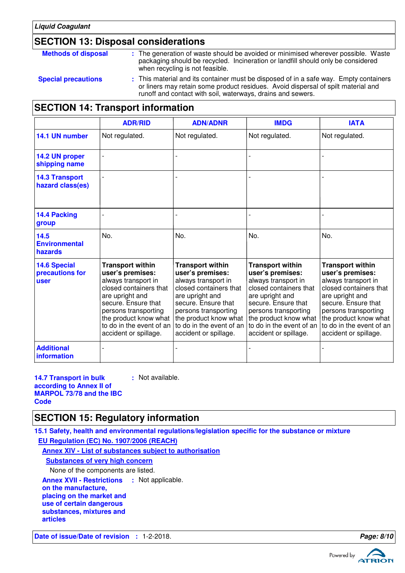# **SECTION 13: Disposal considerations**

| <b>Methods of disposal</b> | : The generation of waste should be avoided or minimised wherever possible. Waste<br>packaging should be recycled. Incineration or landfill should only be considered<br>when recycling is not feasible.                                  |
|----------------------------|-------------------------------------------------------------------------------------------------------------------------------------------------------------------------------------------------------------------------------------------|
| <b>Special precautions</b> | : This material and its container must be disposed of in a safe way. Empty containers<br>or liners may retain some product residues. Avoid dispersal of spilt material and<br>runoff and contact with soil, waterways, drains and sewers. |

## **SECTION 14: Transport information**

|                                                | <b>ADR/RID</b>                                                                                                                                                                                                      | <b>ADN/ADNR</b>                                                                                                                                                                                                                                                    | <b>IMDG</b>                                                                                                                                                                                                                                  | <b>IATA</b>                                                                                                                                                                                                                                  |
|------------------------------------------------|---------------------------------------------------------------------------------------------------------------------------------------------------------------------------------------------------------------------|--------------------------------------------------------------------------------------------------------------------------------------------------------------------------------------------------------------------------------------------------------------------|----------------------------------------------------------------------------------------------------------------------------------------------------------------------------------------------------------------------------------------------|----------------------------------------------------------------------------------------------------------------------------------------------------------------------------------------------------------------------------------------------|
| 14.1 UN number                                 | Not regulated.                                                                                                                                                                                                      | Not regulated.                                                                                                                                                                                                                                                     | Not regulated.                                                                                                                                                                                                                               | Not regulated.                                                                                                                                                                                                                               |
| 14.2 UN proper<br>shipping name                |                                                                                                                                                                                                                     |                                                                                                                                                                                                                                                                    |                                                                                                                                                                                                                                              |                                                                                                                                                                                                                                              |
| <b>14.3 Transport</b><br>hazard class(es)      |                                                                                                                                                                                                                     |                                                                                                                                                                                                                                                                    |                                                                                                                                                                                                                                              |                                                                                                                                                                                                                                              |
| 14.4 Packing<br>group                          |                                                                                                                                                                                                                     |                                                                                                                                                                                                                                                                    |                                                                                                                                                                                                                                              |                                                                                                                                                                                                                                              |
| 14.5<br><b>Environmental</b><br>hazards        | No.                                                                                                                                                                                                                 | No.                                                                                                                                                                                                                                                                | No.                                                                                                                                                                                                                                          | No.                                                                                                                                                                                                                                          |
| <b>14.6 Special</b><br>precautions for<br>user | <b>Transport within</b><br>user's premises:<br>always transport in<br>closed containers that<br>are upright and<br>secure. Ensure that<br>persons transporting<br>to do in the event of an<br>accident or spillage. | <b>Transport within</b><br>user's premises:<br>always transport in<br>closed containers that<br>are upright and<br>secure. Ensure that<br>persons transporting<br>the product know what the product know what<br>to do in the event of an<br>accident or spillage. | <b>Transport within</b><br>user's premises:<br>always transport in<br>closed containers that<br>are upright and<br>secure. Ensure that<br>persons transporting<br>the product know what<br>to do in the event of an<br>accident or spillage. | <b>Transport within</b><br>user's premises:<br>always transport in<br>closed containers that<br>are upright and<br>secure. Ensure that<br>persons transporting<br>the product know what<br>to do in the event of an<br>accident or spillage. |
| <b>Additional</b><br>information               |                                                                                                                                                                                                                     |                                                                                                                                                                                                                                                                    |                                                                                                                                                                                                                                              |                                                                                                                                                                                                                                              |

**14.7 Transport in bulk according to Annex II of MARPOL 73/78 and the IBC Code :** Not available.

# **SECTION 15: Regulatory information**

**15.1 Safety, health and environmental regulations/legislation specific for the substance or mixture EU Regulation (EC) No. 1907/2006 (REACH)**

**Annex XIV - List of substances subject to authorisation**

**Substances of very high concern**

None of the components are listed.

**Annex XVII - Restrictions : Not applicable.** 

**on the manufacture, placing on the market and**

**use of certain dangerous**

**substances, mixtures and**

**articles**

**Date of issue/Date of revision :** 1-2-2018. **Page: 8/10**

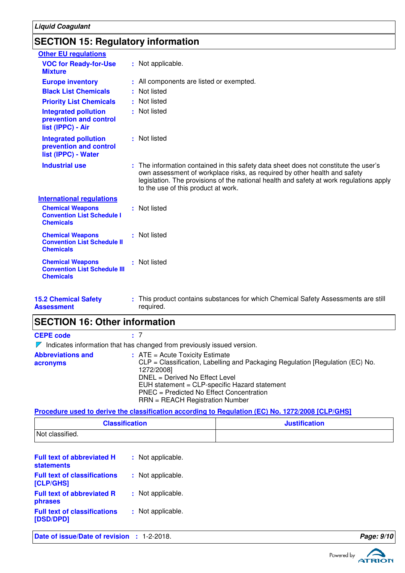# **SECTION 15: Regulatory information**

| <b>Other EU regulations</b>                                                        |                                                                                                                                                                                                                                                                                                     |
|------------------------------------------------------------------------------------|-----------------------------------------------------------------------------------------------------------------------------------------------------------------------------------------------------------------------------------------------------------------------------------------------------|
| <b>VOC for Ready-for-Use</b><br><b>Mixture</b>                                     | : Not applicable.                                                                                                                                                                                                                                                                                   |
| <b>Europe inventory</b>                                                            | : All components are listed or exempted.                                                                                                                                                                                                                                                            |
| <b>Black List Chemicals</b>                                                        | : Not listed                                                                                                                                                                                                                                                                                        |
| <b>Priority List Chemicals</b>                                                     | : Not listed                                                                                                                                                                                                                                                                                        |
| <b>Integrated pollution</b><br>prevention and control<br>list (IPPC) - Air         | : Not listed                                                                                                                                                                                                                                                                                        |
| <b>Integrated pollution</b><br>prevention and control<br>list (IPPC) - Water       | : Not listed                                                                                                                                                                                                                                                                                        |
| <b>Industrial use</b>                                                              | : The information contained in this safety data sheet does not constitute the user's<br>own assessment of workplace risks, as required by other health and safety<br>legislation. The provisions of the national health and safety at work regulations apply<br>to the use of this product at work. |
| <b>International regulations</b>                                                   |                                                                                                                                                                                                                                                                                                     |
| <b>Chemical Weapons</b><br><b>Convention List Schedule I</b><br><b>Chemicals</b>   | : Not listed                                                                                                                                                                                                                                                                                        |
| <b>Chemical Weapons</b><br><b>Convention List Schedule II</b><br><b>Chemicals</b>  | : Not listed                                                                                                                                                                                                                                                                                        |
| <b>Chemical Weapons</b><br><b>Convention List Schedule III</b><br><b>Chemicals</b> | : Not listed                                                                                                                                                                                                                                                                                        |
| <b>15.2 Chemical Safety</b><br>Assessment                                          | : This product contains substances for which Chemical Safety Assessments are still<br>required.                                                                                                                                                                                                     |

# **SECTION 16: Other information**

**CEPE code :** 7

 $\nabla$  Indicates information that has changed from previously issued version.

| <b>Abbreviations and</b> | $:$ ATE = Acute Toxicity Estimate                                             |
|--------------------------|-------------------------------------------------------------------------------|
| acronyms                 | CLP = Classification, Labelling and Packaging Regulation [Regulation (EC) No. |
|                          | 1272/2008]                                                                    |
|                          | DNEL = Derived No Effect Level                                                |
|                          | EUH statement = CLP-specific Hazard statement                                 |
|                          | PNEC = Predicted No Effect Concentration                                      |
|                          | $RRN = REACH$ Registration Number                                             |

**Procedure used to derive the classification according to Regulation (EC) No. 1272/2008 [CLP/GHS]**

| <b>Classification</b> | <b>Justification</b> |
|-----------------------|----------------------|
| Not classified.       |                      |

| <b>Full text of abbreviated H</b><br><b>statements</b> | : Not applicable. |
|--------------------------------------------------------|-------------------|
| <b>Full text of classifications</b><br>[CLP/GHS]       | : Not applicable. |
| <b>Full text of abbreviated R</b><br>phrases           | : Not applicable. |
| <b>Full text of classifications</b><br>[DSD/DPD]       | : Not applicable. |
|                                                        |                   |

**Date of issue/Date of revision : 1-2-2018. Page: 9/10 Page: 9/10**